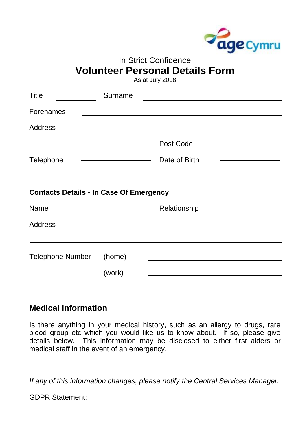

## In Strict Confidence **Volunteer Personal Details Form**

As at July 2018

| <b>Title</b>                                                            | Surname                                                                                                               |                                                                                           |                                                               |
|-------------------------------------------------------------------------|-----------------------------------------------------------------------------------------------------------------------|-------------------------------------------------------------------------------------------|---------------------------------------------------------------|
| <b>Forenames</b>                                                        | <u> 1989 - Johann Stein, mars an deutscher Stein († 1989)</u>                                                         |                                                                                           |                                                               |
| <b>Address</b>                                                          | <u> 1989 - Johann Barn, mars eta bainar eta bat erroman erroman erroman erroman erroman erroman erroman erroman e</u> |                                                                                           |                                                               |
| <u> 1989 - Johann Barn, fransk politik amerikansk politik (d. 1989)</u> |                                                                                                                       | Post Code                                                                                 | <u> 1980 - Andrea Stadt Britain, fransk politik (d. 1980)</u> |
| Telephone                                                               |                                                                                                                       | Date of Birth                                                                             |                                                               |
| <b>Contacts Details - In Case Of Emergency</b>                          |                                                                                                                       |                                                                                           |                                                               |
| <b>Name</b>                                                             |                                                                                                                       | Relationship                                                                              |                                                               |
| <b>Address</b>                                                          | <u> 1989 - Johann Barn, mars ann an t-Amhain Aonaich an t-Aonaich an t-Aonaich an t-Aonaich an t-Aonaich an t-Aon</u> |                                                                                           |                                                               |
|                                                                         |                                                                                                                       |                                                                                           |                                                               |
| <b>Telephone Number</b>                                                 | (home)                                                                                                                |                                                                                           |                                                               |
|                                                                         | (work)                                                                                                                | the control of the control of the control of the control of the control of the control of |                                                               |

## **Medical Information**

Is there anything in your medical history, such as an allergy to drugs, rare blood group etc which you would like us to know about. If so, please give details below. This information may be disclosed to either first aiders or medical staff in the event of an emergency.

*If any of this information changes, please notify the Central Services Manager.*

GDPR Statement: